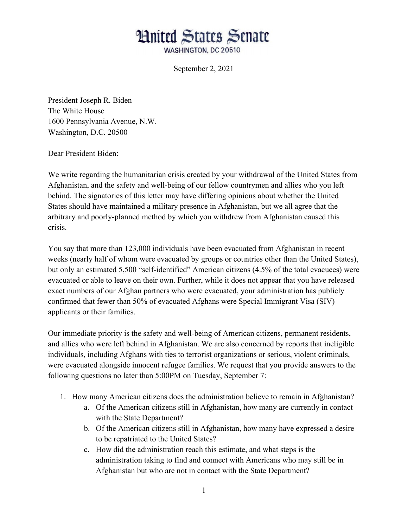## **Hnited States Senate**

WASHINGTON, DC 20510

September 2, 2021

President Joseph R. Biden The White House 1600 Pennsylvania Avenue, N.W. Washington, D.C. 20500

Dear President Biden:

We write regarding the humanitarian crisis created by your withdrawal of the United States from Afghanistan, and the safety and well-being of our fellow countrymen and allies who you left behind. The signatories of this letter may have differing opinions about whether the United States should have maintained a military presence in Afghanistan, but we all agree that the arbitrary and poorly-planned method by which you withdrew from Afghanistan caused this crisis.

You say that more than 123,000 individuals have been evacuated from Afghanistan in recent weeks (nearly half of whom were evacuated by groups or countries other than the United States), but only an estimated 5,500 "self-identified" American citizens (4.5% of the total evacuees) were evacuated or able to leave on their own. Further, while it does not appear that you have released exact numbers of our Afghan partners who were evacuated, your administration has publicly confirmed that fewer than 50% of evacuated Afghans were Special Immigrant Visa (SIV) applicants or their families.

Our immediate priority is the safety and well-being of American citizens, permanent residents, and allies who were left behind in Afghanistan. We are also concerned by reports that ineligible individuals, including Afghans with ties to terrorist organizations or serious, violent criminals, were evacuated alongside innocent refugee families. We request that you provide answers to the following questions no later than 5:00PM on Tuesday, September 7:

- 1. How many American citizens does the administration believe to remain in Afghanistan?
	- a. Of the American citizens still in Afghanistan, how many are currently in contact with the State Department?
	- b. Of the American citizens still in Afghanistan, how many have expressed a desire to be repatriated to the United States?
	- c. How did the administration reach this estimate, and what steps is the administration taking to find and connect with Americans who may still be in Afghanistan but who are not in contact with the State Department?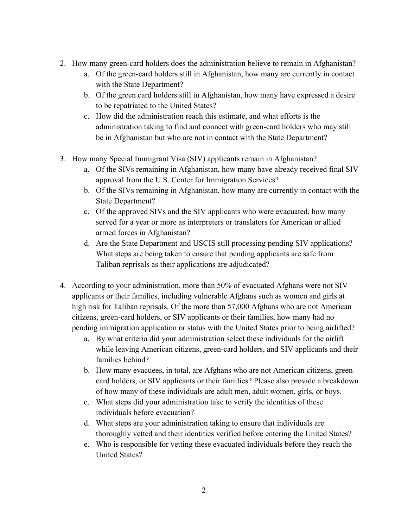- 2. How many green-card holders does the administration believe to remain in Afghanistan?
	- a. Of the green-card holders still in Afghanistan, how many are currently in contact with the State Department?
	- b. Of the green card holders still in Afghanistan, how many have expressed a desire to be repatriated to the United States?
	- c. How did the administration reach this estimate, and what efforts is the administration taking to find and connect with green-card holders who may still be in Afghanistan but who are not in contact with the State Department?
- 3. How many Special Immigrant Visa (SIV) applicants remain in Afghanistan?
	- a. Of the SIVs remaining in Afghanistan, how many have already received final SIV approval from the U.S. Center for Immigration Services?
	- b. Of the SIVs remaining in Afghanistan, how many are currently in contact with the State Department?
	- c. Of the approved SIVs and the SIV applicants who were evacuated, how many served for a year or more as interpreters or translators for American or allied armed forces in Afghanistan?
	- d. Are the State Department and USCIS still processing pending SIV applications? What steps are being taken to ensure that pending applicants are safe from Taliban reprisals as their applications are adjudicated?
- 4. According to your administration, more than 50% of evacuated Afghans were not SIV applicants or their families, including vulnerable Afghans such as women and girls at high risk for Taliban reprisals. Of the more than 57,000 Afghans who are not American citizens, green-card holders, or SIV applicants or their families, how many had no pending immigration application or status with the United States prior to being airlifted?
	- a. By what criteria did your administration select these individuals for the airlift while leaving American citizens, green-card holders, and SIV applicants and their families behind?
	- b. How many evacuees, in total, are Afghans who are not American citizens, greencard holders, or SIV applicants or their families? Please also provide a breakdown of how many of these individuals are adult men, adult women, girls, or boys.
	- c. What steps did your administration take to verify the identities of these individuals before evacuation?
	- d. What steps are your administration taking to ensure that individuals are thoroughly vetted and their identities verified before entering the United States?
	- e. Who is responsible for vetting these evacuated individuals before they reach the United States?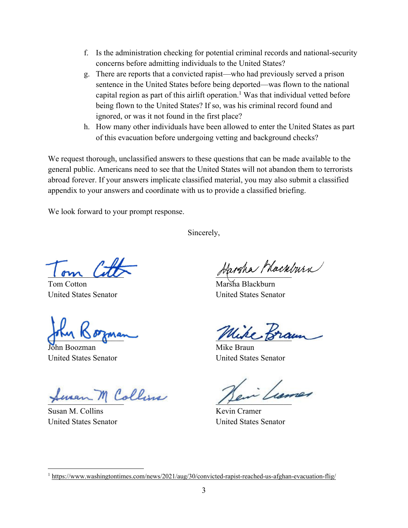- f. Is the administration checking for potential criminal records and national-security concerns before admitting individuals to the United States?
- g. There are reports that a convicted rapist—who had previously served a prison sentence in the United States before being deported—was flown to the national capital region as part of this airlift operation.<sup>1</sup> Was that individual vetted before being flown to the United States? If so, was his criminal record found and ignored, or was it not found in the first place?
- h. How many other individuals have been allowed to enter the United States as part of this evacuation before undergoing vetting and background checks?

We request thorough, unclassified answers to these questions that can be made available to the general public. Americans need to see that the United States will not abandon them to terrorists abroad forever. If your answers implicate classified material, you may also submit a classified appendix to your answers and coordinate with us to provide a classified briefing.

We look forward to your prompt response.

Sincerely,

 $\iota$  om  $\iota$ 

Tom Cotton United States Senator

 $\int d\mathbf{r}$  and  $\int d\mathbf{r}$  and  $\int d\mathbf{r}$ 

John Boozman United States Senator

Seven M Collins

Susan M. Collins United States Senator

Jargha Mackburn

Marsha Blackburn United States Senator

Mike.

Mike Braun United States Senator

 $\mu$ 

Kevin Cramer United States Senator

<sup>&</sup>lt;sup>1</sup>https://www.washingtontimes.com/news/2021/aug/30/convicted-rapist-reached-us-afghan-evacuation-flig/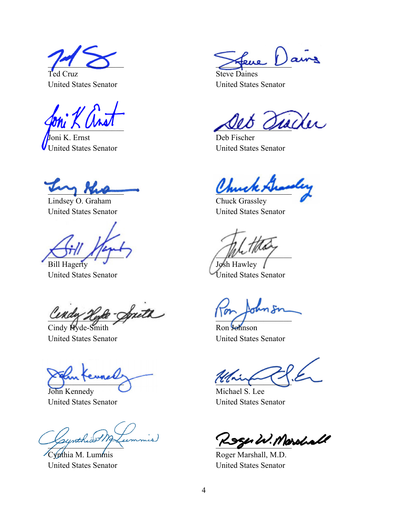$\Box$ 

Ted Cruz United States Senator

 $I^{\text{out}}$   $\wedge$   $U^{\text{out}}$ 

Joni K. Ernst United States Senator

 $m_{\chi}$  rue

Lindsey O. Graham United States Senator

 $\bigcup_{\mu \in \mathcal{L}} \mu_{\mu}$ Bill Hagerty

United States Senator

unay Kyee

Cindy Hyde-Smith United States Senator

 $\sum_{i=1}^n$ 

John Kennedy United States Senator

pymerics ...

Cynthia M. Lummis United States Senator

\_\_\_\_\_\_\_\_\_\_\_\_\_\_\_\_\_\_\_

Steve Daines United States Senator

 $\iota\iota\iota$  $\omega$ 

Deb Fischer United States Senator

 $\mathcal{C}$ muck recon

Chuck Grassley United States Senator

 $\mu$ Josh Hawley

United States Senator

 $\sum_{i=1}^n$ 

Ron Johnson United States Senator

 $\sum_{i=1}^n$ 

Michael S. Lee United States Senator

Roger W. Marshall

Roger Marshall, M.D. United States Senator